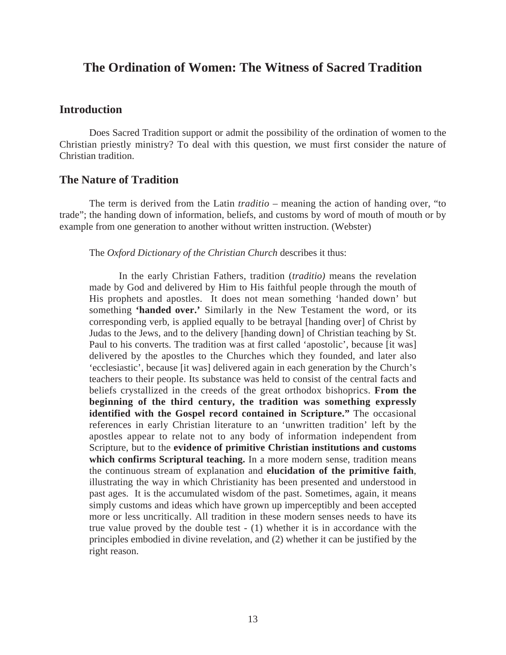# **The Ordination of Women: The Witness of Sacred Tradition**

## **Introduction**

Does Sacred Tradition support or admit the possibility of the ordination of women to the Christian priestly ministry? To deal with this question, we must first consider the nature of Christian tradition.

## **The Nature of Tradition**

The term is derived from the Latin *traditio* – meaning the action of handing over, "to trade"; the handing down of information, beliefs, and customs by word of mouth of mouth or by example from one generation to another without written instruction. (Webster)

#### The *Oxford Dictionary of the Christian Church* describes it thus:

In the early Christian Fathers, tradition (*traditio)* means the revelation made by God and delivered by Him to His faithful people through the mouth of His prophets and apostles. It does not mean something 'handed down' but something **'handed over.'** Similarly in the New Testament the word, or its corresponding verb, is applied equally to be betrayal [handing over] of Christ by Judas to the Jews, and to the delivery [handing down] of Christian teaching by St. Paul to his converts. The tradition was at first called 'apostolic', because [it was] delivered by the apostles to the Churches which they founded, and later also 'ecclesiastic', because [it was] delivered again in each generation by the Church's teachers to their people. Its substance was held to consist of the central facts and beliefs crystallized in the creeds of the great orthodox bishoprics. **From the beginning of the third century, the tradition was something expressly identified with the Gospel record contained in Scripture."** The occasional references in early Christian literature to an 'unwritten tradition' left by the apostles appear to relate not to any body of information independent from Scripture, but to the **evidence of primitive Christian institutions and customs which confirms Scriptural teaching.** In a more modern sense, tradition means the continuous stream of explanation and **elucidation of the primitive faith**, illustrating the way in which Christianity has been presented and understood in past ages. It is the accumulated wisdom of the past. Sometimes, again, it means simply customs and ideas which have grown up imperceptibly and been accepted more or less uncritically. All tradition in these modern senses needs to have its true value proved by the double test - (1) whether it is in accordance with the principles embodied in divine revelation, and (2) whether it can be justified by the right reason.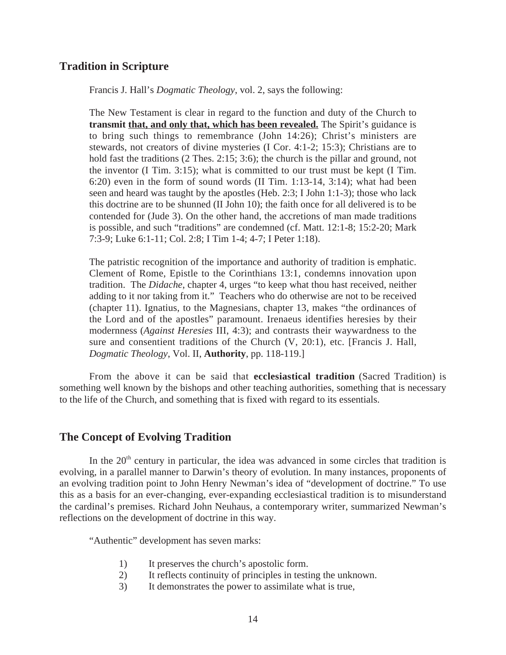## **Tradition in Scripture**

Francis J. Hall's *Dogmatic Theology*, vol. 2, says the following:

The New Testament is clear in regard to the function and duty of the Church to **transmit that, and only that, which has been revealed.** The Spirit's guidance is to bring such things to remembrance (John 14:26); Christ's ministers are stewards, not creators of divine mysteries (I Cor. 4:1-2; 15:3); Christians are to hold fast the traditions (2 Thes. 2:15; 3:6); the church is the pillar and ground, not the inventor (I Tim. 3:15); what is committed to our trust must be kept (I Tim. 6:20) even in the form of sound words (II Tim. 1:13-14, 3:14); what had been seen and heard was taught by the apostles (Heb. 2:3; I John 1:1-3); those who lack this doctrine are to be shunned (II John 10); the faith once for all delivered is to be contended for (Jude 3). On the other hand, the accretions of man made traditions is possible, and such "traditions" are condemned (cf. Matt. 12:1-8; 15:2-20; Mark 7:3-9; Luke 6:1-11; Col. 2:8; I Tim 1-4; 4-7; I Peter 1:18).

The patristic recognition of the importance and authority of tradition is emphatic. Clement of Rome, Epistle to the Corinthians 13:1, condemns innovation upon tradition. The *Didache*, chapter 4, urges "to keep what thou hast received, neither adding to it nor taking from it." Teachers who do otherwise are not to be received (chapter 11). Ignatius, to the Magnesians, chapter 13, makes "the ordinances of the Lord and of the apostles" paramount. Irenaeus identifies heresies by their modernness (*Against Heresies* III, 4:3); and contrasts their waywardness to the sure and consentient traditions of the Church (V, 20:1), etc. [Francis J. Hall, *Dogmatic Theology*, Vol. II, **Authority**, pp. 118-119.]

From the above it can be said that **ecclesiastical tradition** (Sacred Tradition) is something well known by the bishops and other teaching authorities, something that is necessary to the life of the Church, and something that is fixed with regard to its essentials.

## **The Concept of Evolving Tradition**

In the  $20<sup>th</sup>$  century in particular, the idea was advanced in some circles that tradition is evolving, in a parallel manner to Darwin's theory of evolution. In many instances, proponents of an evolving tradition point to John Henry Newman's idea of "development of doctrine." To use this as a basis for an ever-changing, ever-expanding ecclesiastical tradition is to misunderstand the cardinal's premises. Richard John Neuhaus, a contemporary writer, summarized Newman's reflections on the development of doctrine in this way.

"Authentic" development has seven marks:

- 1) It preserves the church's apostolic form.
- 2) It reflects continuity of principles in testing the unknown.
- 3) It demonstrates the power to assimilate what is true,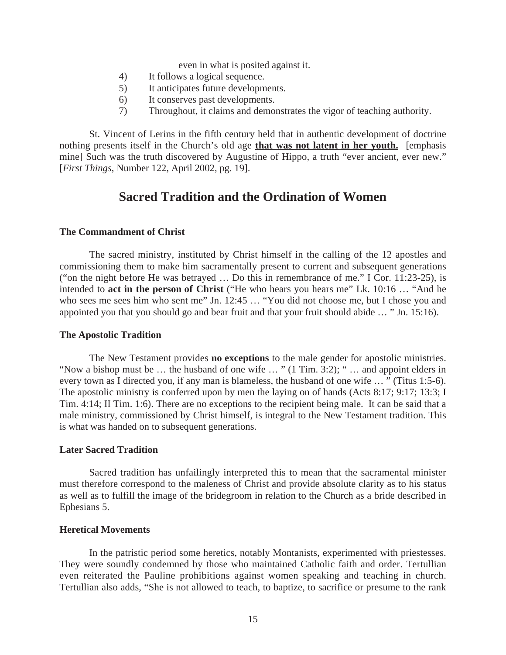even in what is posited against it.

- 4) It follows a logical sequence.
- 5) It anticipates future developments.
- 6) It conserves past developments.
- 7) Throughout, it claims and demonstrates the vigor of teaching authority.

St. Vincent of Lerins in the fifth century held that in authentic development of doctrine nothing presents itself in the Church's old age **that was not latent in her youth.** [emphasis mine] Such was the truth discovered by Augustine of Hippo, a truth "ever ancient, ever new." [*First Things*, Number 122, April 2002, pg. 19].

# **Sacred Tradition and the Ordination of Women**

#### **The Commandment of Christ**

The sacred ministry, instituted by Christ himself in the calling of the 12 apostles and commissioning them to make him sacramentally present to current and subsequent generations ("on the night before He was betrayed … Do this in remembrance of me." I Cor. 11:23-25), is intended to **act in the person of Christ** ("He who hears you hears me" Lk. 10:16 … "And he who sees me sees him who sent me" Jn. 12:45 … "You did not choose me, but I chose you and appointed you that you should go and bear fruit and that your fruit should abide … " Jn. 15:16).

#### **The Apostolic Tradition**

The New Testament provides **no exceptions** to the male gender for apostolic ministries. "Now a bishop must be … the husband of one wife … " (1 Tim. 3:2); " … and appoint elders in every town as I directed you, if any man is blameless, the husband of one wife … " (Titus 1:5-6). The apostolic ministry is conferred upon by men the laying on of hands (Acts 8:17; 9:17; 13:3; I Tim. 4:14; II Tim. 1:6). There are no exceptions to the recipient being male. It can be said that a male ministry, commissioned by Christ himself, is integral to the New Testament tradition. This is what was handed on to subsequent generations.

#### **Later Sacred Tradition**

Sacred tradition has unfailingly interpreted this to mean that the sacramental minister must therefore correspond to the maleness of Christ and provide absolute clarity as to his status as well as to fulfill the image of the bridegroom in relation to the Church as a bride described in Ephesians 5.

#### **Heretical Movements**

In the patristic period some heretics, notably Montanists, experimented with priestesses. They were soundly condemned by those who maintained Catholic faith and order. Tertullian even reiterated the Pauline prohibitions against women speaking and teaching in church. Tertullian also adds, "She is not allowed to teach, to baptize, to sacrifice or presume to the rank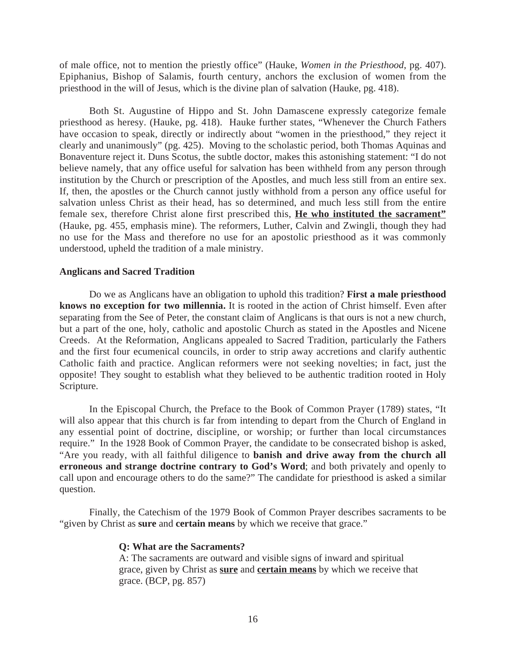of male office, not to mention the priestly office" (Hauke, *Women in the Priesthood*, pg. 407). Epiphanius, Bishop of Salamis, fourth century, anchors the exclusion of women from the priesthood in the will of Jesus, which is the divine plan of salvation (Hauke, pg. 418).

Both St. Augustine of Hippo and St. John Damascene expressly categorize female priesthood as heresy. (Hauke, pg. 418). Hauke further states, "Whenever the Church Fathers have occasion to speak, directly or indirectly about "women in the priesthood," they reject it clearly and unanimously" (pg. 425). Moving to the scholastic period, both Thomas Aquinas and Bonaventure reject it. Duns Scotus, the subtle doctor, makes this astonishing statement: "I do not believe namely, that any office useful for salvation has been withheld from any person through institution by the Church or prescription of the Apostles, and much less still from an entire sex. If, then, the apostles or the Church cannot justly withhold from a person any office useful for salvation unless Christ as their head, has so determined, and much less still from the entire female sex, therefore Christ alone first prescribed this, **He who instituted the sacrament"** (Hauke, pg. 455, emphasis mine). The reformers, Luther, Calvin and Zwingli, though they had no use for the Mass and therefore no use for an apostolic priesthood as it was commonly understood, upheld the tradition of a male ministry.

#### **Anglicans and Sacred Tradition**

Do we as Anglicans have an obligation to uphold this tradition? **First a male priesthood knows no exception for two millennia.** It is rooted in the action of Christ himself. Even after separating from the See of Peter, the constant claim of Anglicans is that ours is not a new church, but a part of the one, holy, catholic and apostolic Church as stated in the Apostles and Nicene Creeds. At the Reformation, Anglicans appealed to Sacred Tradition, particularly the Fathers and the first four ecumenical councils, in order to strip away accretions and clarify authentic Catholic faith and practice. Anglican reformers were not seeking novelties; in fact, just the opposite! They sought to establish what they believed to be authentic tradition rooted in Holy Scripture.

In the Episcopal Church, the Preface to the Book of Common Prayer (1789) states, "It will also appear that this church is far from intending to depart from the Church of England in any essential point of doctrine, discipline, or worship; or further than local circumstances require." In the 1928 Book of Common Prayer, the candidate to be consecrated bishop is asked, "Are you ready, with all faithful diligence to **banish and drive away from the church all erroneous and strange doctrine contrary to God's Word**; and both privately and openly to call upon and encourage others to do the same?" The candidate for priesthood is asked a similar question.

Finally, the Catechism of the 1979 Book of Common Prayer describes sacraments to be "given by Christ as **sure** and **certain means** by which we receive that grace."

#### **Q: What are the Sacraments?**

A: The sacraments are outward and visible signs of inward and spiritual grace, given by Christ as **sure** and **certain means** by which we receive that grace. (BCP, pg. 857)